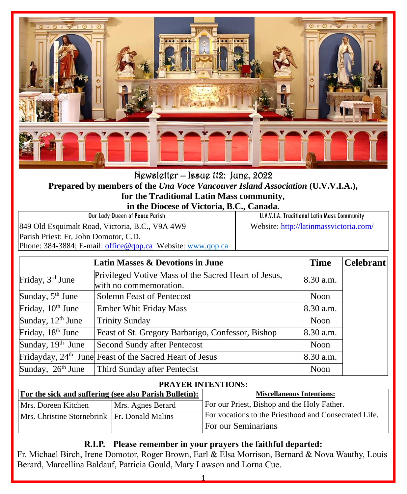

Newsletter – Issue 112: June, 2022 **Prepared by members of the** *Una Voce Vancouver Island Association* **(U.V.V.I.A.), for the Traditional Latin Mass community,**

**in the Diocese of Victoria, B.C., Canada.**

| Our Lady Queen of Peace Parish                             | U.V.V.I.A. Traditional Latin Mass Community |
|------------------------------------------------------------|---------------------------------------------|
| 849 Old Esquimalt Road, Victoria, B.C., V9A 4W9            | Website: http://latinmassvictoria.com/      |
| Parish Priest: Fr. John Domotor, C.D.                      |                                             |
| Phone: 384-3884; E-mail: office@gop.ca Website: www.qop.ca |                                             |

|                               | Latin Masses & Devotions in June                                               | <b>Time</b> | <b>Celebrant</b> |
|-------------------------------|--------------------------------------------------------------------------------|-------------|------------------|
| Friday, 3rd June              | Privileged Votive Mass of the Sacred Heart of Jesus,<br>with no commemoration. | 8.30 a.m.   |                  |
| Sunday, $5th$ June            | Solemn Feast of Pentecost                                                      | Noon        |                  |
| Friday, 10 <sup>th</sup> June | <b>Ember Whit Friday Mass</b>                                                  | 8.30 a.m.   |                  |
| Sunday, 12 <sup>th</sup> June | <b>Trinity Sunday</b>                                                          | Noon        |                  |
| Friday, 18 <sup>th</sup> June | Feast of St. Gregory Barbarigo, Confessor, Bishop                              | 8.30 a.m.   |                  |
| Sunday, 19th June             | Second Sundy after Pentecost                                                   | Noon        |                  |
|                               | Fridayday, 24 <sup>th</sup> June Feast of the Sacred Heart of Jesus            | 8.30 a.m.   |                  |
| Sunday, 26 <sup>th</sup> June | Third Sunday after Pentecist                                                   | Noon        |                  |

#### **PRAYER INTENTIONS:**

| For the sick and suffering (see also Parish Bulletin): |                   | <b>Miscellaneous Intentions:</b>                      |
|--------------------------------------------------------|-------------------|-------------------------------------------------------|
| Mrs. Doreen Kitchen                                    | Mrs. Agnes Berard | For our Priest, Bishop and the Holy Father.           |
| Mrs. Christine Stornebrink Fr. Donald Malins           |                   | For vocations to the Priesthood and Consecrated Life. |
|                                                        |                   | For our Seminarians                                   |

#### **R.I.P. Please remember in your prayers the faithful departed:**

Fr. Michael Birch, Irene Domotor, Roger Brown, Earl & Elsa Morrison, Bernard & Nova Wauthy, Louis Berard, Marcellina Baldauf, Patricia Gould, Mary Lawson and Lorna Cue.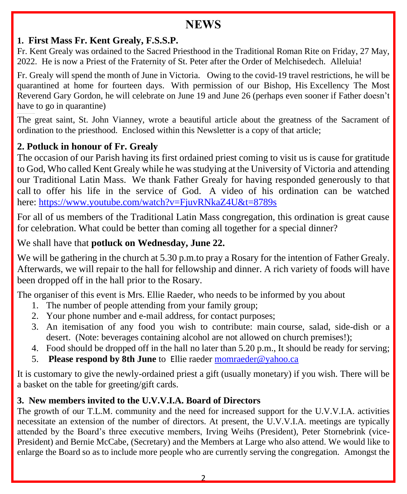# **NEWS**

### **1. First Mass Fr. Kent Grealy, F.S.S.P.**

Fr. Kent Grealy was ordained to the Sacred Priesthood in the Traditional Roman Rite on Friday, 27 May, 2022. He is now a Priest of the Fraternity of St. Peter after the Order of Melchisedech. Alleluia!

Fr. Grealy will spend the month of June in Victoria. Owing to the covid-19 travel restrictions, he will be quarantined at home for fourteen days. With permission of our Bishop, His Excellency The Most Reverend Gary Gordon, he will celebrate on June 19 and June 26 (perhaps even sooner if Father doesn't have to go in quarantine)

…………….. The great saint, St. John Vianney, wrote a beautiful article about the greatness of the Sacrament of ordination to the priesthood. Enclosed within this Newsletter is a copy of that article;

### **2. Potluck in honour of Fr. Grealy**

The occasion of our Parish having its first ordained priest coming to visit us is cause for gratitude to God, Who called Kent Grealy while he was studying at the University of Victoria and attending our Traditional Latin Mass. We thank Father Grealy for having responded generously to that call to offer his life in the service of God. A video of his ordination can be watched here: <https://www.youtube.com/watch?v=FjuvRNkaZ4U&t=8789s>

For all of us members of the Traditional Latin Mass congregation, this ordination is great cause for celebration. What could be better than coming all together for a special dinner?

#### We shall have that **potluck on Wednesday, June 22.**

We will be gathering in the church at 5.30 p.m.to pray a Rosary for the intention of Father Grealy. Afterwards, we will repair to the hall for fellowship and dinner. A rich variety of foods will have been dropped off in the hall prior to the Rosary.

The organiser of this event is Mrs. Ellie Raeder, who needs to be informed by you about

- 1. The number of people attending from your family group;
- 2. Your phone number and e-mail address, for contact purposes;
- 3. An itemisation of any food you wish to contribute: main course, salad, side-dish or a desert. (Note: beverages containing alcohol are not allowed on church premises!);
- 4. Food should be dropped off in the hall no later than 5.20 p.m., It should be ready for serving;
- 5. **Please respond by 8th June** to Ellie raede[r momraeder@yahoo.ca](mailto:momraeder@yahoo.ca)

It is customary to give the newly-ordained priest a gift (usually monetary) if you wish. There will be a basket on the table for greeting/gift cards.

#### **3. New members invited to the U.V.V.I.A. Board of Directors**

The growth of our T.L.M. community and the need for increased support for the U.V.V.I.A. activities necessitate an extension of the number of directors. At present, the U.V.V.I.A. meetings are typically attended by the Board's three executive members, Irving Weihs (President), Peter Stornebrink (vice-President) and Bernie McCabe, (Secretary) and the Members at Large who also attend. We would like to enlarge the Board so as to include more people who are currently serving the congregation. Amongst the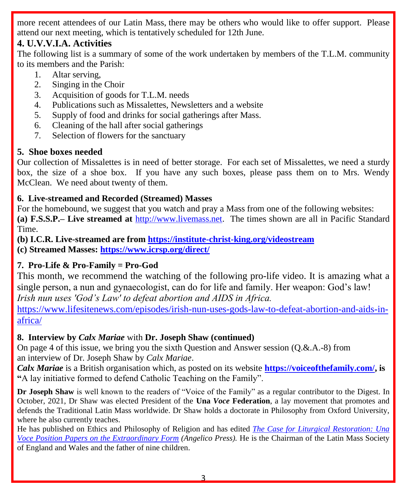more recent attendees of our Latin Mass, there may be others who would like to offer support. Please attend our next meeting, which is tentatively scheduled for 12th June.

# **4. U.V.V.I.A. Activities**

The following list is a summary of some of the work undertaken by members of the T.L.M. community to its members and the Parish:

- 1. Altar serving,
- 2. Singing in the Choir
- 3. Acquisition of goods for T.L.M. needs
- 4. Publications such as Missalettes, Newsletters and a website
- 5. Supply of food and drinks for social gatherings after Mass.
- 6. Cleaning of the hall after social gatherings
- 7. Selection of flowers for the sanctuary

# **5. Shoe boxes needed**

Our collection of Missalettes is in need of better storage. For each set of Missalettes, we need a sturdy box, the size of a shoe box. If you have any such boxes, please pass them on to Mrs. Wendy McClean. We need about twenty of them.

### **6. Live-streamed and Recorded (Streamed) Masses**

For the homebound, we suggest that you watch and pray a Mass from one of the following websites: **(a) F.S.S.P.– Live streamed at** [http://www.livemass.net.](http://www.livemass.net/) The times shown are all in Pacific Standard Time.

**(b) I.C.R. Live-streamed are from<https://institute-christ-king.org/videostream> (c) Streamed Masses:<https://www.icrsp.org/direct/>**

# **7. Pro-Life & Pro-Family = Pro-God**

This month, we recommend the watching of the following pro-life video. It is amazing what a single person, a nun and gynaecologist, can do for life and family. Her weapon: God's law! *Irish nun uses 'God's Law' to defeat abortion and AIDS in Africa.* 

[https://www.lifesitenews.com/episodes/irish-nun-uses-gods-law-to-defeat-abortion-and-aids-in](https://www.lifesitenews.com/episodes/irish-nun-uses-gods-law-to-defeat-abortion-and-aids-in-africa/)[africa/](https://www.lifesitenews.com/episodes/irish-nun-uses-gods-law-to-defeat-abortion-and-aids-in-africa/)

#### **8. Interview by** *Calx Mariae* with **Dr. Joseph Shaw (continued)**

On page 4 of this issue, we bring you the sixth Question and Answer session (Q.&.A.-8) from an interview of Dr. Joseph Shaw by *Calx Mariae*.

*Calx Mariae* is a British organisation which, as posted on its website **[https://voiceofthefamily.com/,](https://voiceofthefamily.com/) is "**A lay initiative formed to defend Catholic Teaching on the Family".

**Dr Joseph Shaw** is well known to the readers of "Voice of the Family" as a regular contributor to the Digest. In October, 2021, Dr Shaw was elected President of the **Una** *Voce* **Federation**, a lay movement that promotes and defends the Traditional Latin Mass worldwide. Dr Shaw holds a doctorate in Philosophy from Oxford University, where he also currently teaches.

He has published on Ethics and Philosophy of Religion and has edited *[The Case for Liturgical Restoration: Una](https://www.angelicopress.org/the-case-for-liturgical-restoration-shaw)  [Voce Position Papers on the Extraordinary Form](https://www.angelicopress.org/the-case-for-liturgical-restoration-shaw) (Angelico Press).* He is the Chairman of the Latin Mass Society of England and Wales and the father of nine children.